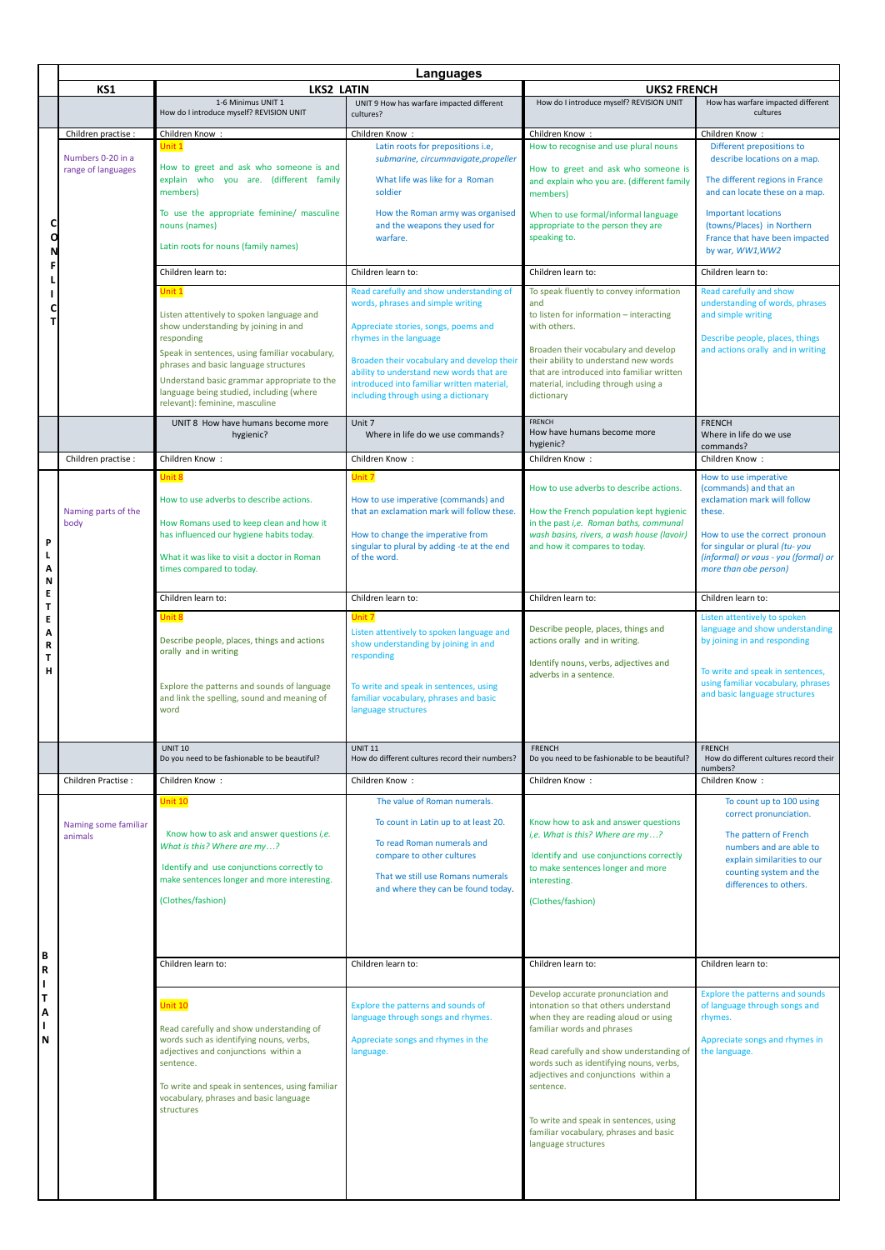|        |                                 | Languages                                                                                     |                                                                                        |                                                                                               |                                                                                            |  |
|--------|---------------------------------|-----------------------------------------------------------------------------------------------|----------------------------------------------------------------------------------------|-----------------------------------------------------------------------------------------------|--------------------------------------------------------------------------------------------|--|
|        | KS1                             | <b>LKS2 LATIN</b>                                                                             |                                                                                        | <b>UKS2 FRENCH</b>                                                                            |                                                                                            |  |
|        |                                 | 1-6 Minimus UNIT 1<br>How do I introduce myself? REVISION UNIT                                | UNIT 9 How has warfare impacted different<br>cultures?                                 | How do I introduce myself? REVISION UNIT                                                      | How has warfare impacted different<br>cultures                                             |  |
| С      | Children practise :             | Children Know:                                                                                | Children Know:                                                                         | Children Know:                                                                                | Children Know:                                                                             |  |
|        | Numbers 0-20 in a               | Unit 1                                                                                        | Latin roots for prepositions i.e,<br>submarine, circumnavigate, propeller              | How to recognise and use plural nouns                                                         | Different prepositions to<br>describe locations on a map.                                  |  |
|        | range of languages              | How to greet and ask who someone is and<br>explain who you are. (different family<br>members) | What life was like for a Roman<br>soldier                                              | How to greet and ask who someone is<br>and explain who you are. (different family<br>members) | The different regions in France<br>and can locate these on a map.                          |  |
|        |                                 | To use the appropriate feminine/ masculine<br>nouns (names)                                   | How the Roman army was organised<br>and the weapons they used for<br>warfare.          | When to use formal/informal language<br>appropriate to the person they are<br>speaking to.    | <b>Important locations</b><br>(towns/Places) in Northern<br>France that have been impacted |  |
|        |                                 | Latin roots for nouns (family names)                                                          |                                                                                        |                                                                                               | by war, WW1,WW2                                                                            |  |
|        |                                 | Children learn to:                                                                            | Children learn to:                                                                     | Children learn to:                                                                            | Children learn to:                                                                         |  |
|        |                                 | Unit 1                                                                                        | Read carefully and show understanding of                                               | To speak fluently to convey information                                                       | Read carefully and show                                                                    |  |
|        |                                 | Listen attentively to spoken language and                                                     | words, phrases and simple writing                                                      | and<br>to listen for information - interacting                                                | understanding of words, phrases<br>and simple writing                                      |  |
| т      |                                 | show understanding by joining in and                                                          | Appreciate stories, songs, poems and                                                   | with others.                                                                                  |                                                                                            |  |
|        |                                 | responding<br>Speak in sentences, using familiar vocabulary,                                  | rhymes in the language                                                                 | Broaden their vocabulary and develop                                                          | Describe people, places, things<br>and actions orally and in writing                       |  |
|        |                                 | phrases and basic language structures                                                         | Broaden their vocabulary and develop their<br>ability to understand new words that are | their ability to understand new words<br>that are introduced into familiar written            |                                                                                            |  |
|        |                                 | Understand basic grammar appropriate to the<br>language being studied, including (where       | introduced into familiar written material,                                             | material, including through using a                                                           |                                                                                            |  |
|        |                                 | relevant): feminine, masculine                                                                | including through using a dictionary                                                   | dictionary                                                                                    |                                                                                            |  |
|        |                                 | UNIT 8 How have humans become more<br>hygienic?                                               | Unit 7<br>Where in life do we use commands?                                            | <b>FRENCH</b><br>How have humans become more<br>hygienic?                                     | <b>FRENCH</b><br>Where in life do we use<br>commands?                                      |  |
|        | Children practise :             | Children Know:                                                                                | Children Know:                                                                         | Children Know:                                                                                | Children Know:                                                                             |  |
|        |                                 | Unit 8                                                                                        | Unit 7                                                                                 |                                                                                               | How to use imperative<br>(commands) and that an                                            |  |
|        |                                 | How to use adverbs to describe actions.                                                       | How to use imperative (commands) and                                                   | How to use adverbs to describe actions.                                                       | exclamation mark will follow                                                               |  |
|        | Naming parts of the<br>body     | How Romans used to keep clean and how it                                                      | that an exclamation mark will follow these.                                            | How the French population kept hygienic<br>in the past i,e. Roman baths, communal             | these.                                                                                     |  |
| P      |                                 | has influenced our hygiene habits today.                                                      | How to change the imperative from                                                      | wash basins, rivers, a wash house (lavoir)                                                    | How to use the correct pronoun                                                             |  |
|        |                                 | What it was like to visit a doctor in Roman                                                   | singular to plural by adding -te at the end<br>of the word.                            | and how it compares to today.                                                                 | for singular or plural (tu-you<br>(informal) or vous - you (formal) or                     |  |
| A<br>N |                                 | times compared to today.                                                                      |                                                                                        |                                                                                               | more than obe person)                                                                      |  |
| Е      |                                 | Children learn to:                                                                            | Children learn to:                                                                     | Children learn to:                                                                            | Children learn to:                                                                         |  |
| Τ<br>E |                                 | Unit 8                                                                                        | Unit 7                                                                                 |                                                                                               | Listen attentively to spoken                                                               |  |
| Α      |                                 | Describe people, places, things and actions                                                   | Listen attentively to spoken language and<br>show understanding by joining in and      | Describe people, places, things and<br>actions orally and in writing.                         | language and show understanding<br>by joining in and responding                            |  |
| R<br>Τ |                                 | orally and in writing                                                                         | responding                                                                             | Identify nouns, verbs, adjectives and                                                         |                                                                                            |  |
| н      |                                 |                                                                                               |                                                                                        | adverbs in a sentence.                                                                        | To write and speak in sentences,<br>using familiar vocabulary, phrases                     |  |
|        |                                 | Explore the patterns and sounds of language<br>and link the spelling, sound and meaning of    | To write and speak in sentences, using<br>familiar vocabulary, phrases and basic       |                                                                                               | and basic language structures                                                              |  |
|        |                                 | word                                                                                          | language structures                                                                    |                                                                                               |                                                                                            |  |
|        |                                 | <b>UNIT 10</b>                                                                                | <b>UNIT 11</b>                                                                         | <b>FRENCH</b>                                                                                 | <b>FRENCH</b>                                                                              |  |
|        |                                 | Do you need to be fashionable to be beautiful?                                                | How do different cultures record their numbers?                                        | Do you need to be fashionable to be beautiful?                                                | How do different cultures record their<br>numbers?                                         |  |
|        | Children Practise:              | Children Know:                                                                                | Children Know:                                                                         | Children Know:                                                                                | Children Know:                                                                             |  |
|        | Naming some familiar<br>animals | Unit 10                                                                                       | The value of Roman numerals.                                                           |                                                                                               | To count up to 100 using<br>correct pronunciation.                                         |  |
|        |                                 | Know how to ask and answer questions i, e.                                                    | To count in Latin up to at least 20.                                                   | Know how to ask and answer questions<br>i,e. What is this? Where are my?                      | The pattern of French                                                                      |  |
|        |                                 | What is this? Where are my?                                                                   | To read Roman numerals and<br>compare to other cultures                                | Identify and use conjunctions correctly                                                       | numbers and are able to                                                                    |  |
|        |                                 | Identify and use conjunctions correctly to                                                    | That we still use Romans numerals                                                      | to make sentences longer and more                                                             | explain similarities to our<br>counting system and the                                     |  |
|        |                                 | make sentences longer and more interesting.                                                   | and where they can be found today.                                                     | interesting.                                                                                  | differences to others.                                                                     |  |
|        |                                 | (Clothes/fashion)                                                                             |                                                                                        | (Clothes/fashion)                                                                             |                                                                                            |  |
|        |                                 |                                                                                               |                                                                                        |                                                                                               |                                                                                            |  |
| В      |                                 |                                                                                               |                                                                                        |                                                                                               |                                                                                            |  |
| R      |                                 | Children learn to:                                                                            | Children learn to:                                                                     | Children learn to:                                                                            | Children learn to:                                                                         |  |
| Τ      |                                 |                                                                                               |                                                                                        | Develop accurate pronunciation and                                                            | Explore the patterns and sounds                                                            |  |
| A      |                                 | Jnit 10                                                                                       | Explore the patterns and sounds of<br>language through songs and rhymes.               | intonation so that others understand<br>when they are reading aloud or using                  | of language through songs and<br>rhymes.                                                   |  |
|        |                                 | Read carefully and show understanding of                                                      |                                                                                        | familiar words and phrases                                                                    |                                                                                            |  |
| N      |                                 | words such as identifying nouns, verbs,<br>adjectives and conjunctions within a               | Appreciate songs and rhymes in the<br>language.                                        | Read carefully and show understanding of                                                      | Appreciate songs and rhymes in<br>the language.                                            |  |
|        |                                 | sentence.                                                                                     |                                                                                        | words such as identifying nouns, verbs,<br>adjectives and conjunctions within a               |                                                                                            |  |
|        |                                 | To write and speak in sentences, using familiar<br>vocabulary, phrases and basic language     |                                                                                        | sentence.                                                                                     |                                                                                            |  |
|        |                                 | structures                                                                                    |                                                                                        |                                                                                               |                                                                                            |  |
|        |                                 |                                                                                               |                                                                                        | To write and speak in sentences, using<br>familiar vocabulary, phrases and basic              |                                                                                            |  |
|        |                                 |                                                                                               |                                                                                        | language structures                                                                           |                                                                                            |  |
|        |                                 |                                                                                               |                                                                                        |                                                                                               |                                                                                            |  |
|        |                                 |                                                                                               |                                                                                        |                                                                                               |                                                                                            |  |